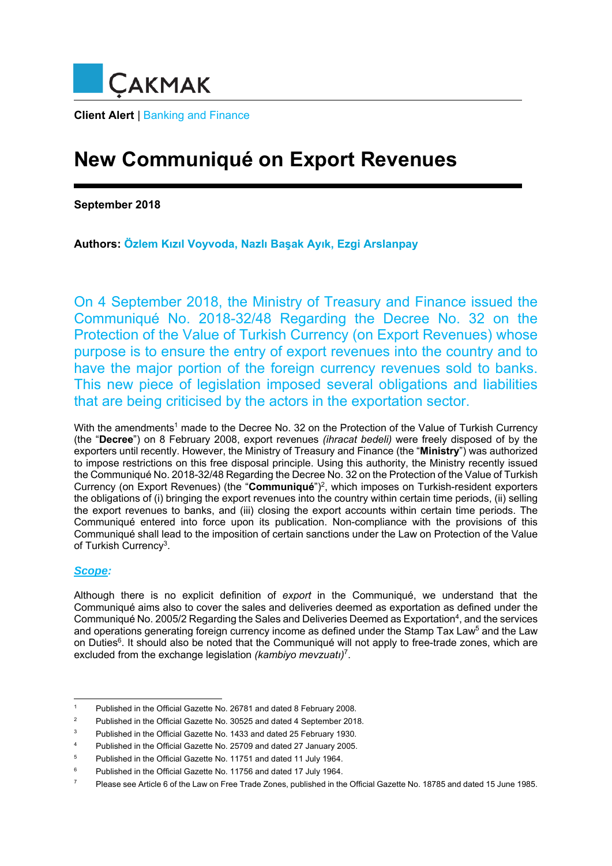

# **Client Alert** | Banking and Finance

# **New Communiqué on Export Revenues**

**September 2018** 

**Authors: Özlem Kızıl Voyvoda, Nazlı Başak Ayık, Ezgi Arslanpay**

On 4 September 2018, the Ministry of Treasury and Finance issued the Communiqué No. 2018-32/48 Regarding the Decree No. 32 on the Protection of the Value of Turkish Currency (on Export Revenues) whose purpose is to ensure the entry of export revenues into the country and to have the major portion of the foreign currency revenues sold to banks. This new piece of legislation imposed several obligations and liabilities that are being criticised by the actors in the exportation sector.

With the amendments<sup>1</sup> made to the Decree No. 32 on the Protection of the Value of Turkish Currency (the "**Decree**") on 8 February 2008, export revenues *(ihracat bedeli)* were freely disposed of by the exporters until recently. However, the Ministry of Treasury and Finance (the "**Ministry**") was authorized to impose restrictions on this free disposal principle. Using this authority, the Ministry recently issued the Communiqué No. 2018-32/48 Regarding the Decree No. 32 on the Protection of the Value of Turkish Currency (on Export Revenues) (the "**Communiqué**")2, which imposes on Turkish-resident exporters the obligations of (i) bringing the export revenues into the country within certain time periods, (ii) selling the export revenues to banks, and (iii) closing the export accounts within certain time periods. The Communiqué entered into force upon its publication. Non-compliance with the provisions of this Communiqué shall lead to the imposition of certain sanctions under the Law on Protection of the Value of Turkish Currency<sup>3</sup>.

## *Scope:*

Although there is no explicit definition of *export* in the Communiqué, we understand that the Communiqué aims also to cover the sales and deliveries deemed as exportation as defined under the Communiqué No. 2005/2 Regarding the Sales and Deliveries Deemed as Exportation<sup>4</sup>, and the services and operations generating foreign currency income as defined under the Stamp Tax Law<sup>5</sup> and the Law on Duties<sup>6</sup>. It should also be noted that the Communiqué will not apply to free-trade zones, which are excluded from the exchange legislation *(kambiyo mevzuatı)* 7.

<sup>-</sup>1 Published in the Official Gazette No. 26781 and dated 8 February 2008.

<sup>2</sup> Published in the Official Gazette No. 30525 and dated 4 September 2018.

<sup>3</sup> Published in the Official Gazette No. 1433 and dated 25 February 1930.

<sup>4</sup> Published in the Official Gazette No. 25709 and dated 27 January 2005.

<sup>5</sup> Published in the Official Gazette No. 11751 and dated 11 July 1964.

<sup>6</sup> Published in the Official Gazette No. 11756 and dated 17 July 1964.

<sup>7</sup> Please see Article 6 of the Law on Free Trade Zones, published in the Official Gazette No. 18785 and dated 15 June 1985.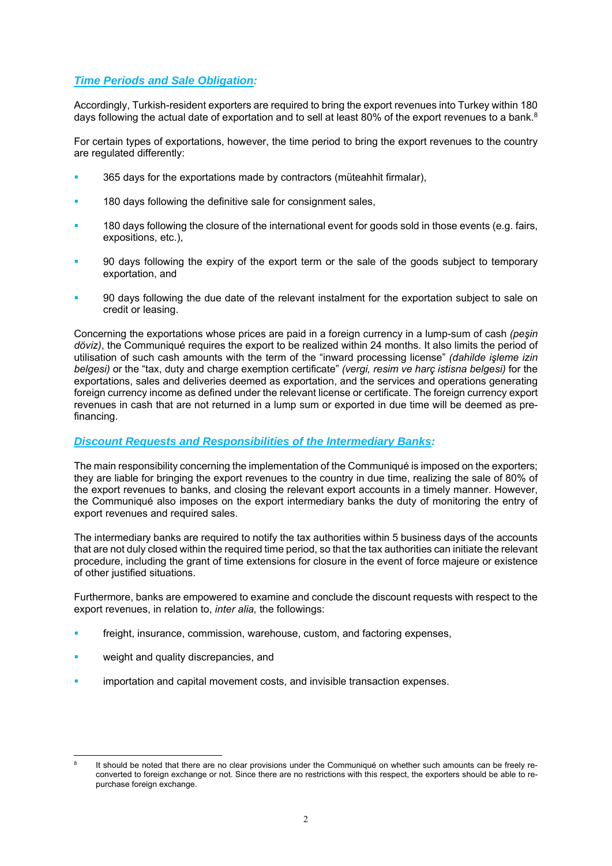# *Time Periods and Sale Obligation:*

Accordingly, Turkish-resident exporters are required to bring the export revenues into Turkey within 180 days following the actual date of exportation and to sell at least 80% of the export revenues to a bank. $8$ 

For certain types of exportations, however, the time period to bring the export revenues to the country are regulated differently:

- 365 days for the exportations made by contractors (müteahhit firmalar),
- 180 days following the definitive sale for consignment sales,
- 180 days following the closure of the international event for goods sold in those events (e.g. fairs, expositions, etc.),
- 90 days following the expiry of the export term or the sale of the goods subject to temporary exportation, and
- 90 days following the due date of the relevant instalment for the exportation subject to sale on credit or leasing.

Concerning the exportations whose prices are paid in a foreign currency in a lump-sum of cash *(peşin döviz)*, the Communiqué requires the export to be realized within 24 months. It also limits the period of utilisation of such cash amounts with the term of the "inward processing license" *(dahilde işleme izin belgesi)* or the "tax, duty and charge exemption certificate" *(vergi, resim ve harç istisna belgesi)* for the exportations, sales and deliveries deemed as exportation, and the services and operations generating foreign currency income as defined under the relevant license or certificate. The foreign currency export revenues in cash that are not returned in a lump sum or exported in due time will be deemed as prefinancing.

## *Discount Requests and Responsibilities of the Intermediary Banks:*

The main responsibility concerning the implementation of the Communiqué is imposed on the exporters; they are liable for bringing the export revenues to the country in due time, realizing the sale of 80% of the export revenues to banks, and closing the relevant export accounts in a timely manner. However, the Communiqué also imposes on the export intermediary banks the duty of monitoring the entry of export revenues and required sales.

The intermediary banks are required to notify the tax authorities within 5 business days of the accounts that are not duly closed within the required time period, so that the tax authorities can initiate the relevant procedure, including the grant of time extensions for closure in the event of force majeure or existence of other justified situations.

Furthermore, banks are empowered to examine and conclude the discount requests with respect to the export revenues, in relation to, *inter alia,* the followings:

- freight, insurance, commission, warehouse, custom, and factoring expenses,
- weight and quality discrepancies, and
- importation and capital movement costs, and invisible transaction expenses.

 $\frac{1}{8}$  It should be noted that there are no clear provisions under the Communiqué on whether such amounts can be freely reconverted to foreign exchange or not. Since there are no restrictions with this respect, the exporters should be able to repurchase foreign exchange.